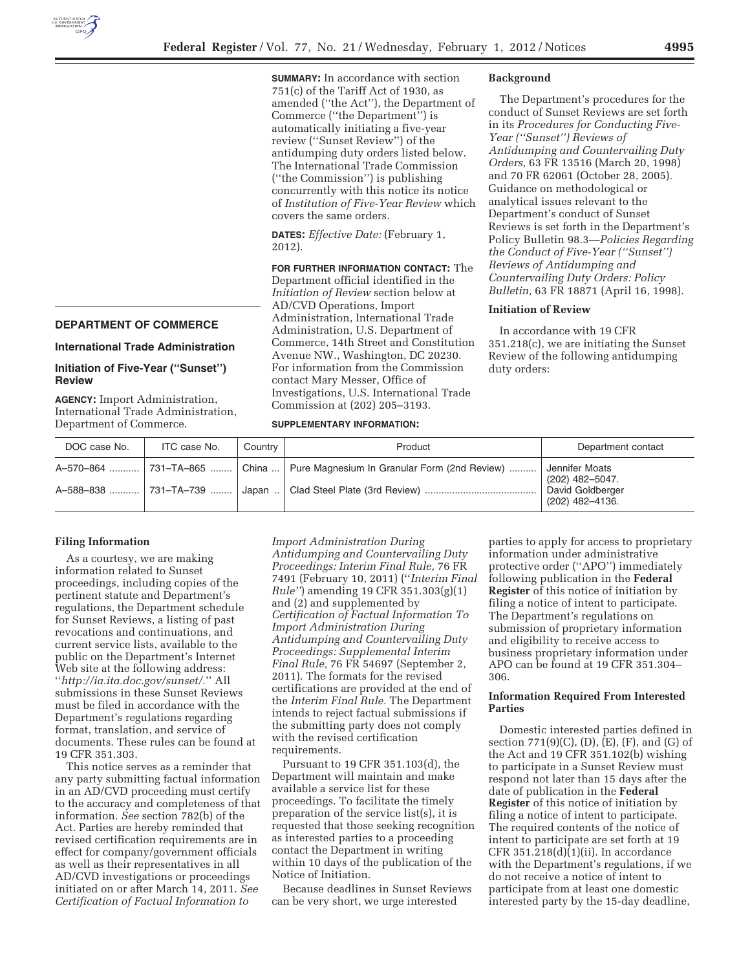**SUMMARY:** In accordance with section 751(c) of the Tariff Act of 1930, as amended (''the Act''), the Department of Commerce (''the Department'') is automatically initiating a five-year review (''Sunset Review'') of the antidumping duty orders listed below. The International Trade Commission (''the Commission'') is publishing concurrently with this notice its notice of *Institution of Five-Year Review* which covers the same orders.

**DATES:** *Effective Date:* (February 1, 2012).

**FOR FURTHER INFORMATION CONTACT:** The Department official identified in the *Initiation of Review* section below at AD/CVD Operations, Import Administration, International Trade Administration, U.S. Department of Commerce, 14th Street and Constitution Avenue NW., Washington, DC 20230. For information from the Commission contact Mary Messer, Office of Investigations, U.S. International Trade Commission at (202) 205–3193.

#### **Background**

The Department's procedures for the conduct of Sunset Reviews are set forth in its *Procedures for Conducting Five-Year (''Sunset'') Reviews of Antidumping and Countervailing Duty Orders,* 63 FR 13516 (March 20, 1998) and 70 FR 62061 (October 28, 2005). Guidance on methodological or analytical issues relevant to the Department's conduct of Sunset Reviews is set forth in the Department's Policy Bulletin 98.3—*Policies Regarding the Conduct of Five-Year (''Sunset'') Reviews of Antidumping and Countervailing Duty Orders: Policy Bulletin,* 63 FR 18871 (April 16, 1998).

## **Initiation of Review**

In accordance with 19 CFR 351.218(c), we are initiating the Sunset Review of the following antidumping duty orders:

## **DEPARTMENT OF COMMERCE**

### **International Trade Administration**

# **Initiation of Five-Year (''Sunset'') Review**

**AGENCY:** Import Administration, International Trade Administration, Department of Commerce.

# **SUPPLEMENTARY INFORMATION:**

| DOC case No. | ITC case No. | Country | Product                                                                        | Department contact                                                       |
|--------------|--------------|---------|--------------------------------------------------------------------------------|--------------------------------------------------------------------------|
|              |              |         | A-570-864  731–TA-865    China    Pure Magnesium In Granular Form (2nd Review) | Jennifer Moats<br>(202) 482-5047.<br>David Goldberger<br>(202) 482-4136. |

#### **Filing Information**

As a courtesy, we are making information related to Sunset proceedings, including copies of the pertinent statute and Department's regulations, the Department schedule for Sunset Reviews, a listing of past revocations and continuations, and current service lists, available to the public on the Department's Internet Web site at the following address: ''*http://ia.ita.doc.gov/sunset/.*'' All submissions in these Sunset Reviews must be filed in accordance with the Department's regulations regarding format, translation, and service of documents. These rules can be found at 19 CFR 351.303.

This notice serves as a reminder that any party submitting factual information in an AD/CVD proceeding must certify to the accuracy and completeness of that information. *See* section 782(b) of the Act. Parties are hereby reminded that revised certification requirements are in effect for company/government officials as well as their representatives in all AD/CVD investigations or proceedings initiated on or after March 14, 2011. *See Certification of Factual Information to* 

*Import Administration During Antidumping and Countervailing Duty Proceedings: Interim Final Rule,* 76 FR 7491 (February 10, 2011) (''*Interim Final Rule''*) amending 19 CFR 351.303(g)(1) and (2) and supplemented by *Certification of Factual Information To Import Administration During Antidumping and Countervailing Duty Proceedings: Supplemental Interim Final Rule,* 76 FR 54697 (September 2, 2011). The formats for the revised certifications are provided at the end of the *Interim Final Rule.* The Department intends to reject factual submissions if the submitting party does not comply with the revised certification requirements.

Pursuant to 19 CFR 351.103(d), the Department will maintain and make available a service list for these proceedings. To facilitate the timely preparation of the service list(s), it is requested that those seeking recognition as interested parties to a proceeding contact the Department in writing within 10 days of the publication of the Notice of Initiation.

Because deadlines in Sunset Reviews can be very short, we urge interested

parties to apply for access to proprietary information under administrative protective order (''APO'') immediately following publication in the **Federal Register** of this notice of initiation by filing a notice of intent to participate. The Department's regulations on submission of proprietary information and eligibility to receive access to business proprietary information under APO can be found at 19 CFR 351.304– 306.

## **Information Required From Interested Parties**

Domestic interested parties defined in section 771(9)(C), (D), (E), (F), and (G) of the Act and 19 CFR 351.102(b) wishing to participate in a Sunset Review must respond not later than 15 days after the date of publication in the **Federal Register** of this notice of initiation by filing a notice of intent to participate. The required contents of the notice of intent to participate are set forth at 19 CFR 351.218(d)(1)(ii). In accordance with the Department's regulations, if we do not receive a notice of intent to participate from at least one domestic interested party by the 15-day deadline,